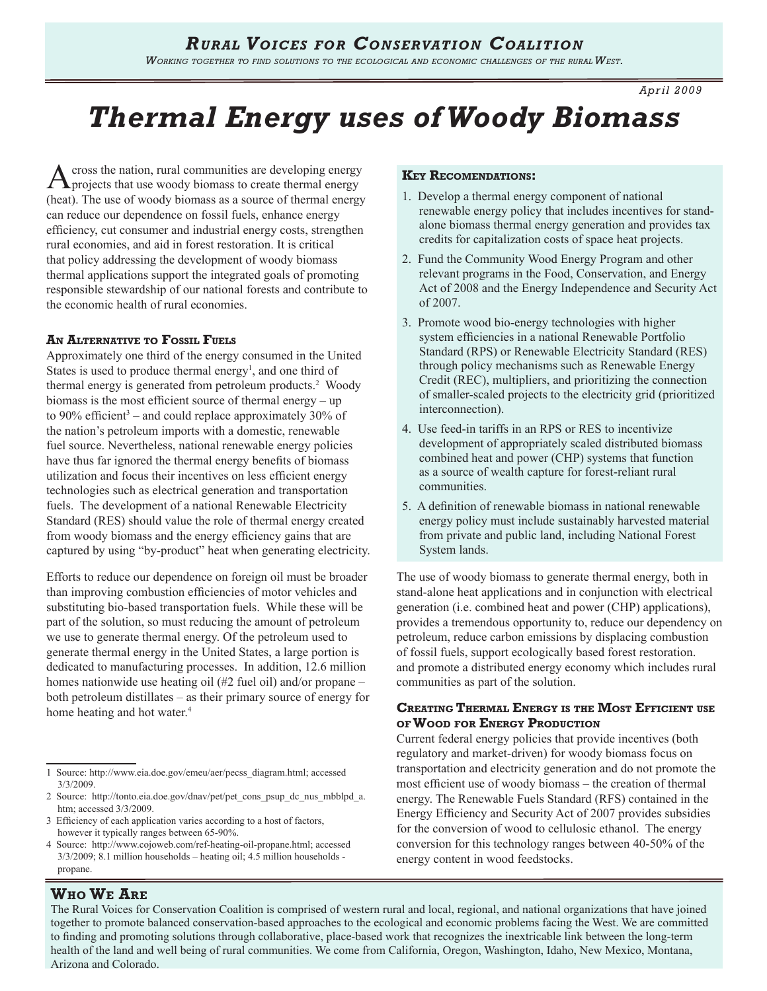*April 2009*

# *Thermal Energy uses of Woody Biomass*

Across the nation, rural communities are developing energy projects that use woody biomass to create thermal energy (heat). The use of woody biomass as a source of thermal energy can reduce our dependence on fossil fuels, enhance energy efficiency, cut consumer and industrial energy costs, strengthen rural economies, and aid in forest restoration. It is critical that policy addressing the development of woody biomass thermal applications support the integrated goals of promoting responsible stewardship of our national forests and contribute to the economic health of rural economies.

### **An Alternative to Fossil Fuels**

Approximately one third of the energy consumed in the United States is used to produce thermal energy<sup>1</sup>, and one third of thermal energy is generated from petroleum products.2 Woody biomass is the most efficient source of thermal energy – up to 90% efficient<sup>3</sup> – and could replace approximately 30% of the nation's petroleum imports with a domestic, renewable fuel source. Nevertheless, national renewable energy policies have thus far ignored the thermal energy benefits of biomass utilization and focus their incentives on less efficient energy technologies such as electrical generation and transportation fuels. The development of a national Renewable Electricity Standard (RES) should value the role of thermal energy created from woody biomass and the energy efficiency gains that are captured by using "by-product" heat when generating electricity.

Efforts to reduce our dependence on foreign oil must be broader than improving combustion efficiencies of motor vehicles and substituting bio-based transportation fuels. While these will be part of the solution, so must reducing the amount of petroleum we use to generate thermal energy. Of the petroleum used to generate thermal energy in the United States, a large portion is dedicated to manufacturing processes. In addition, 12.6 million homes nationwide use heating oil (#2 fuel oil) and/or propane – both petroleum distillates – as their primary source of energy for home heating and hot water.<sup>4</sup>

### **Key Recomendations:**

- 1. Develop a thermal energy component of national renewable energy policy that includes incentives for standalone biomass thermal energy generation and provides tax credits for capitalization costs of space heat projects.
- 2. Fund the Community Wood Energy Program and other relevant programs in the Food, Conservation, and Energy Act of 2008 and the Energy Independence and Security Act of 2007.
- 3. Promote wood bio-energy technologies with higher system efficiencies in a national Renewable Portfolio Standard (RPS) or Renewable Electricity Standard (RES) through policy mechanisms such as Renewable Energy Credit (REC), multipliers, and prioritizing the connection of smaller-scaled projects to the electricity grid (prioritized interconnection).
- 4. Use feed-in tariffs in an RPS or RES to incentivize development of appropriately scaled distributed biomass combined heat and power (CHP) systems that function as a source of wealth capture for forest-reliant rural communities.
- 5. A definition of renewable biomass in national renewable energy policy must include sustainably harvested material from private and public land, including National Forest System lands.

The use of woody biomass to generate thermal energy, both in stand-alone heat applications and in conjunction with electrical generation (i.e. combined heat and power (CHP) applications), provides a tremendous opportunity to, reduce our dependency on petroleum, reduce carbon emissions by displacing combustion of fossil fuels, support ecologically based forest restoration. and promote a distributed energy economy which includes rural communities as part of the solution.

### **Creating Thermal Energy is the Most Efficient use of Wood for Energy Production**

Current federal energy policies that provide incentives (both regulatory and market-driven) for woody biomass focus on transportation and electricity generation and do not promote the most efficient use of woody biomass – the creation of thermal energy. The Renewable Fuels Standard (RFS) contained in the Energy Efficiency and Security Act of 2007 provides subsidies for the conversion of wood to cellulosic ethanol. The energy conversion for this technology ranges between 40-50% of the energy content in wood feedstocks.

### **Who We Are**

The Rural Voices for Conservation Coalition is comprised of western rural and local, regional, and national organizations that have joined together to promote balanced conservation-based approaches to the ecological and economic problems facing the West. We are committed to finding and promoting solutions through collaborative, place-based work that recognizes the inextricable link between the long-term health of the land and well being of rural communities. We come from California, Oregon, Washington, Idaho, New Mexico, Montana, Arizona and Colorado.

<sup>1</sup> Source: http://www.eia.doe.gov/emeu/aer/pecss\_diagram.html; accessed 3/3/2009.

<sup>2</sup> Source: http://tonto.eia.doe.gov/dnav/pet/pet\_cons\_psup\_dc\_nus\_mbblpd\_a. htm; accessed 3/3/2009.

<sup>3</sup> Efficiency of each application varies according to a host of factors, however it typically ranges between 65-90%.

<sup>4</sup> Source: http://www.cojoweb.com/ref-heating-oil-propane.html; accessed 3/3/2009; 8.1 million households – heating oil; 4.5 million households propane.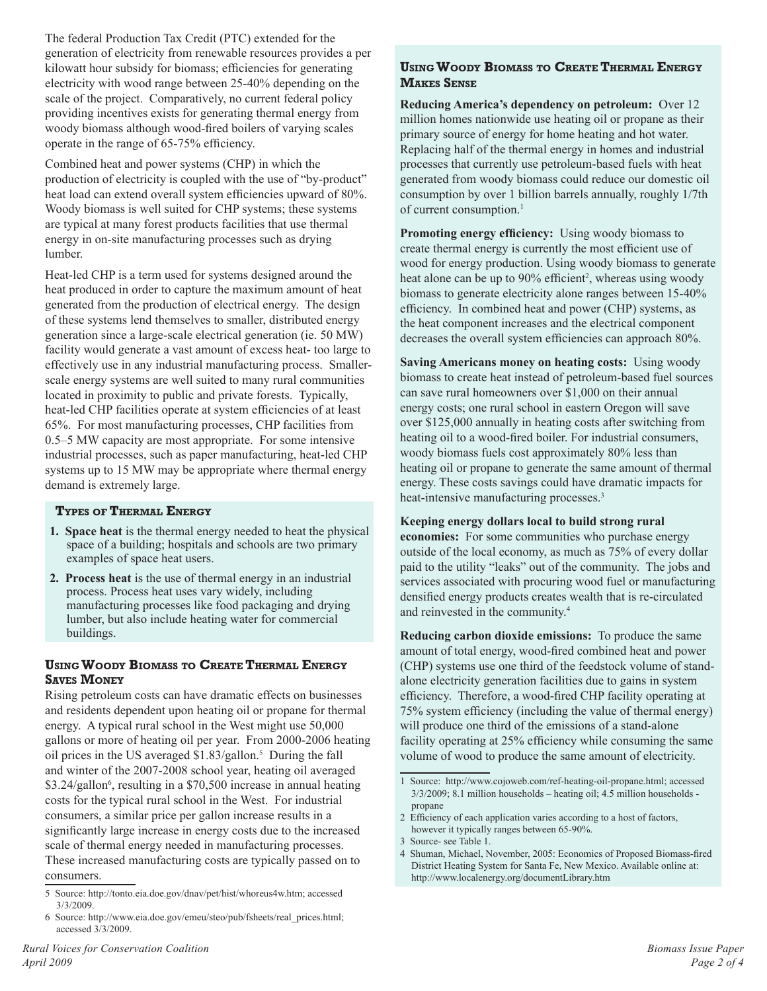The federal Production Tax Credit (PTC) extended for the generation of electricity from renewable resources provides a per kilowatt hour subsidy for biomass; efficiencies for generating electricity with wood range between 25-40% depending on the scale of the project. Comparatively, no current federal policy providing incentives exists for generating thermal energy from woody biomass although wood-fired boilers of varying scales operate in the range of 65-75% efficiency.

Combined heat and power systems (CHP) in which the production of electricity is coupled with the use of "by-product" heat load can extend overall system efficiencies upward of 80%. Woody biomass is well suited for CHP systems; these systems are typical at many forest products facilities that use thermal energy in on-site manufacturing processes such as drying lumber.

Heat-led CHP is a term used for systems designed around the heat produced in order to capture the maximum amount of heat generated from the production of electrical energy. The design of these systems lend themselves to smaller, distributed energy generation since a large-scale electrical generation (ie. 50 MW) facility would generate a vast amount of excess heat- too large to effectively use in any industrial manufacturing process. Smallerscale energy systems are well suited to many rural communities located in proximity to public and private forests. Typically, heat-led CHP facilities operate at system efficiencies of at least 65%. For most manufacturing processes, CHP facilities from 0.5–5 MW capacity are most appropriate. For some intensive industrial processes, such as paper manufacturing, heat-led CHP systems up to 15 MW may be appropriate where thermal energy demand is extremely large.

### **Types of Thermal Energy**

- **1. Space heat** is the thermal energy needed to heat the physical space of a building; hospitals and schools are two primary examples of space heat users.
- **2. Process heat** is the use of thermal energy in an industrial process. Process heat uses vary widely, including manufacturing processes like food packaging and drying lumber, but also include heating water for commercial buildings.

### **Using Woody Biomass to Create Thermal Energy Saves Money**

Rising petroleum costs can have dramatic effects on businesses and residents dependent upon heating oil or propane for thermal energy. A typical rural school in the West might use 50,000 gallons or more of heating oil per year. From 2000-2006 heating oil prices in the US averaged \$1.83/gallon.5 During the fall and winter of the 2007-2008 school year, heating oil averaged \$3.24/gallon<sup>6</sup>, resulting in a \$70,500 increase in annual heating costs for the typical rural school in the West. For industrial consumers, a similar price per gallon increase results in a significantly large increase in energy costs due to the increased scale of thermal energy needed in manufacturing processes. These increased manufacturing costs are typically passed on to consumers.

### **Using Woody Biomass to Create Thermal Energy Makes Sense**

**Reducing America's dependency on petroleum:** Over 12 million homes nationwide use heating oil or propane as their primary source of energy for home heating and hot water. Replacing half of the thermal energy in homes and industrial processes that currently use petroleum-based fuels with heat generated from woody biomass could reduce our domestic oil consumption by over 1 billion barrels annually, roughly 1/7th of current consumption.<sup>1</sup>

**Promoting energy efficiency:** Using woody biomass to create thermal energy is currently the most efficient use of wood for energy production. Using woody biomass to generate heat alone can be up to 90% efficient<sup>2</sup>, whereas using woody biomass to generate electricity alone ranges between 15-40% efficiency. In combined heat and power (CHP) systems, as the heat component increases and the electrical component decreases the overall system efficiencies can approach 80%.

**Saving Americans money on heating costs:** Using woody biomass to create heat instead of petroleum-based fuel sources can save rural homeowners over \$1,000 on their annual energy costs; one rural school in eastern Oregon will save over \$125,000 annually in heating costs after switching from heating oil to a wood-fired boiler. For industrial consumers, woody biomass fuels cost approximately 80% less than heating oil or propane to generate the same amount of thermal energy. These costs savings could have dramatic impacts for heat-intensive manufacturing processes.<sup>3</sup>

### **Keeping energy dollars local to build strong rural**

**economies:** For some communities who purchase energy outside of the local economy, as much as 75% of every dollar paid to the utility "leaks" out of the community. The jobs and services associated with procuring wood fuel or manufacturing densified energy products creates wealth that is re-circulated and reinvested in the community.4

**Reducing carbon dioxide emissions:** To produce the same amount of total energy, wood-fired combined heat and power (CHP) systems use one third of the feedstock volume of standalone electricity generation facilities due to gains in system efficiency. Therefore, a wood-fired CHP facility operating at 75% system efficiency (including the value of thermal energy) will produce one third of the emissions of a stand-alone facility operating at 25% efficiency while consuming the same volume of wood to produce the same amount of electricity.

<sup>5</sup> Source: http://tonto.eia.doe.gov/dnav/pet/hist/whoreus4w.htm; accessed 3/3/2009.

<sup>6</sup> Source: http://www.eia.doe.gov/emeu/steo/pub/fsheets/real\_prices.html; accessed 3/3/2009.

<sup>1</sup> Source: http://www.cojoweb.com/ref-heating-oil-propane.html; accessed 3/3/2009; 8.1 million households – heating oil; 4.5 million households propane

<sup>2</sup> Efficiency of each application varies according to a host of factors, however it typically ranges between 65-90%.

<sup>3</sup> Source- see Table 1.

<sup>4</sup> Shuman, Michael, November, 2005: Economics of Proposed Biomass-fired District Heating System for Santa Fe, New Mexico. Available online at: http://www.localenergy.org/documentLibrary.htm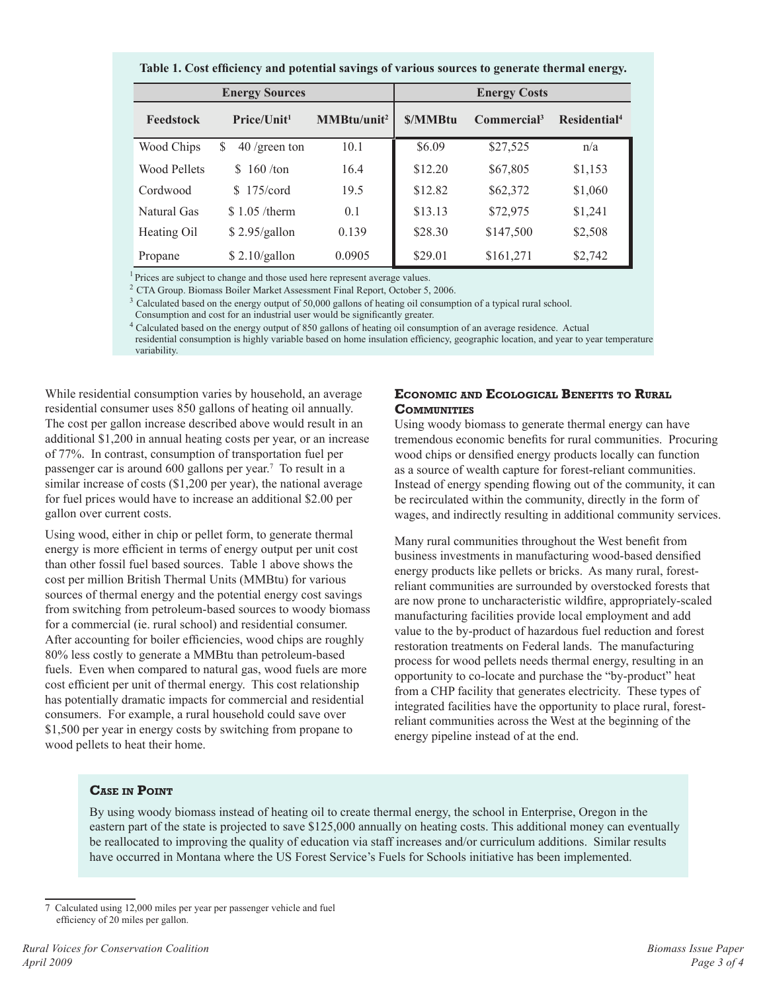|  | Table 1. Cost efficiency and potential savings of various sources to generate thermal energy. |  |
|--|-----------------------------------------------------------------------------------------------|--|
|  |                                                                                               |  |

| <b>Energy Sources</b> |                          |                         | <b>Energy Costs</b> |                         |                          |
|-----------------------|--------------------------|-------------------------|---------------------|-------------------------|--------------------------|
| Feedstock             | Price/Unit <sup>1</sup>  | MMBtu/unit <sup>2</sup> | <b>S/MMBtu</b>      | Commercial <sup>3</sup> | Residential <sup>4</sup> |
| Wood Chips            | $40$ /green ton<br>\$    | 10.1                    | \$6.09              | \$27,525                | n/a                      |
| Wood Pellets          | $160 / \text{ton}$<br>S. | 16.4                    | \$12.20             | \$67,805                | \$1,153                  |
| Cordwood              | $$175/c$ ord             | 19.5                    | \$12.82             | \$62,372                | \$1,060                  |
| Natural Gas           | $$1.05 /$ therm          | 0.1                     | \$13.13             | \$72,975                | \$1,241                  |
| Heating Oil           | \$2.95/gallon            | 0.139                   | \$28.30             | \$147,500               | \$2,508                  |
| Propane               | \$2.10/gallon            | 0.0905                  | \$29.01             | \$161,271               | \$2,742                  |

 $<sup>1</sup>$  Prices are subject to change and those used here represent average values.</sup>

<sup>2</sup> CTA Group. Biomass Boiler Market Assessment Final Report, October 5, 2006.

<sup>3</sup> Calculated based on the energy output of 50,000 gallons of heating oil consumption of a typical rural school.

Consumption and cost for an industrial user would be significantly greater.

4 Calculated based on the energy output of 850 gallons of heating oil consumption of an average residence. Actual residential consumption is highly variable based on home insulation efficiency, geographic location, and year to year temperature variability.

While residential consumption varies by household, an average residential consumer uses 850 gallons of heating oil annually. The cost per gallon increase described above would result in an additional \$1,200 in annual heating costs per year, or an increase of 77%. In contrast, consumption of transportation fuel per passenger car is around 600 gallons per year.<sup>7</sup> To result in a similar increase of costs (\$1,200 per year), the national average for fuel prices would have to increase an additional \$2.00 per gallon over current costs.

Using wood, either in chip or pellet form, to generate thermal energy is more efficient in terms of energy output per unit cost than other fossil fuel based sources. Table 1 above shows the cost per million British Thermal Units (MMBtu) for various sources of thermal energy and the potential energy cost savings from switching from petroleum-based sources to woody biomass for a commercial (ie. rural school) and residential consumer. After accounting for boiler efficiencies, wood chips are roughly 80% less costly to generate a MMBtu than petroleum-based fuels. Even when compared to natural gas, wood fuels are more cost efficient per unit of thermal energy. This cost relationship has potentially dramatic impacts for commercial and residential consumers. For example, a rural household could save over \$1,500 per year in energy costs by switching from propane to wood pellets to heat their home.

### **Economic and Ecological Benefits to Rural COMMUNITIES**

Using woody biomass to generate thermal energy can have tremendous economic benefits for rural communities. Procuring wood chips or densified energy products locally can function as a source of wealth capture for forest-reliant communities. Instead of energy spending flowing out of the community, it can be recirculated within the community, directly in the form of wages, and indirectly resulting in additional community services.

Many rural communities throughout the West benefit from business investments in manufacturing wood-based densified energy products like pellets or bricks. As many rural, forestreliant communities are surrounded by overstocked forests that are now prone to uncharacteristic wildfire, appropriately-scaled manufacturing facilities provide local employment and add value to the by-product of hazardous fuel reduction and forest restoration treatments on Federal lands. The manufacturing process for wood pellets needs thermal energy, resulting in an opportunity to co-locate and purchase the "by-product" heat from a CHP facility that generates electricity. These types of integrated facilities have the opportunity to place rural, forestreliant communities across the West at the beginning of the energy pipeline instead of at the end.

### **Case in Point**

By using woody biomass instead of heating oil to create thermal energy, the school in Enterprise, Oregon in the eastern part of the state is projected to save \$125,000 annually on heating costs. This additional money can eventually be reallocated to improving the quality of education via staff increases and/or curriculum additions. Similar results have occurred in Montana where the US Forest Service's Fuels for Schools initiative has been implemented.

<sup>7</sup> Calculated using 12,000 miles per year per passenger vehicle and fuel efficiency of 20 miles per gallon.